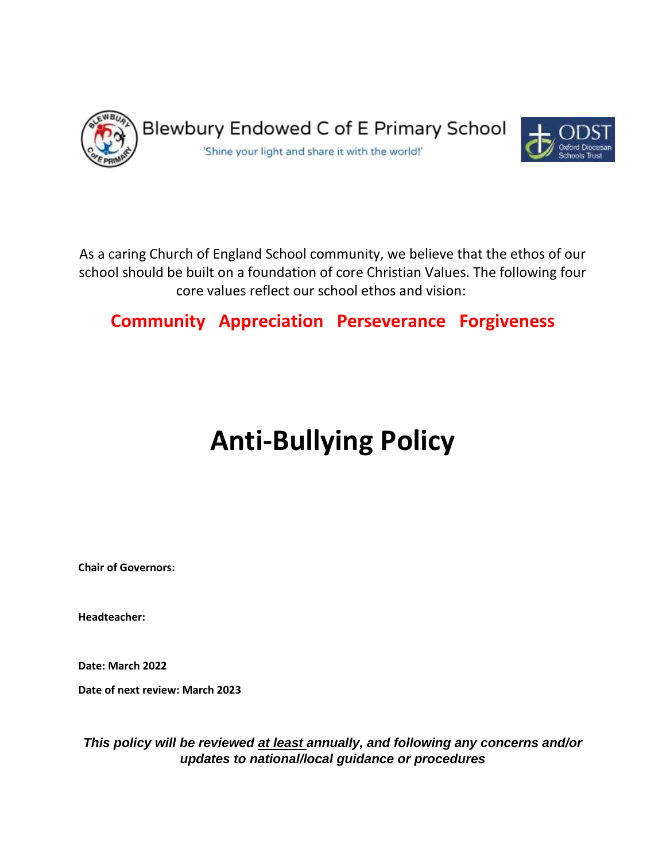

As a caring Church of England School community, we believe that the ethos of our school should be built on a foundation of core Christian Values. The following four core values reflect our school ethos and vision:

# **Community Appreciation Perseverance Forgiveness**

# **Anti-Bullying Policy**

**Chair of Governors:** 

**Headteacher:**

**Date: March 2022**

**Date of next review: March 2023**

*This policy will be reviewed at least annually, and following any concerns and/or updates to national/local guidance or procedures*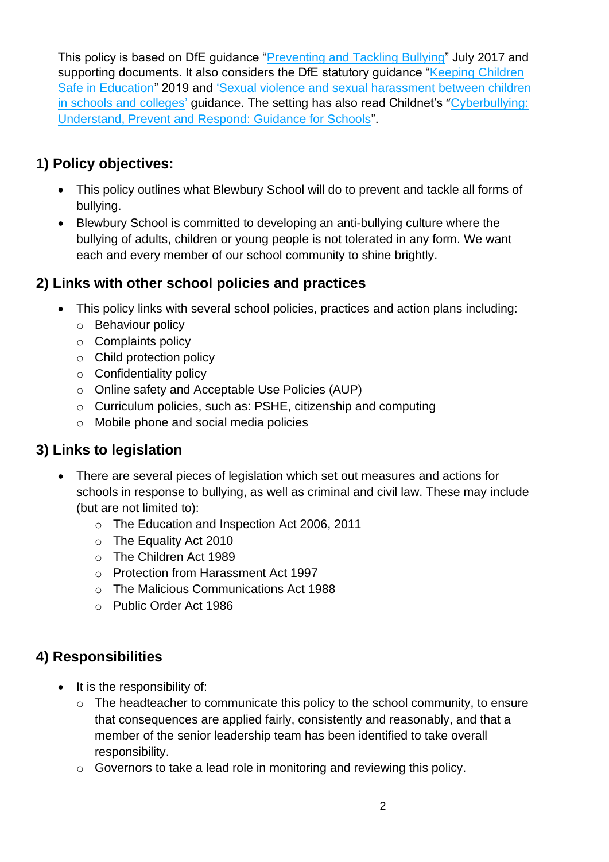This policy is based on DfE guidance ["Preventing and Tackling Bullying"](file:///C:/Users/AssitA01/AppData/Local/Microsoft/Windows/Temporary%20Internet%20Files/Content.Outlook/ZQ0RB9FM/•%09https:/www.gov.uk/government/publications/preventing-and-tackling-bullying) July 2017 and supporting documents. It also considers the DfE statutory guidance "Keeping Children" [Safe in Education"](https://www.gov.uk/government/publications/keeping-children-safe-in-education--2) 2019 and ['Sexual violence and sexual harassment between children](https://www.gov.uk/government/publications/sexual-violence-and-sexual-harassment-between-children-in-schools-and-colleges)  [in schools and colleges'](https://www.gov.uk/government/publications/sexual-violence-and-sexual-harassment-between-children-in-schools-and-colleges) guidance. The setting has also read Childnet's "Cyberbullying: [Understand, Prevent and Respond: Guidance for Schools"](file:///C:/Users/AssitA01/AppData/Local/Microsoft/Windows/Temporary%20Internet%20Files/Content.Outlook/ZQ0RB9FM/www.childnet.com/resources/cyberbullying-guidance-for-schools).

## **1) Policy objectives:**

- This policy outlines what Blewbury School will do to prevent and tackle all forms of bullying.
- Blewbury School is committed to developing an anti-bullying culture where the bullying of adults, children or young people is not tolerated in any form. We want each and every member of our school community to shine brightly.

## **2) Links with other school policies and practices**

- This policy links with several school policies, practices and action plans including:
	- o Behaviour policy
	- o Complaints policy
	- o Child protection policy
	- o Confidentiality policy
	- o Online safety and Acceptable Use Policies (AUP)
	- o Curriculum policies, such as: PSHE, citizenship and computing
	- o Mobile phone and social media policies

# **3) Links to legislation**

- There are several pieces of legislation which set out measures and actions for schools in response to bullying, as well as criminal and civil law. These may include (but are not limited to):
	- o The Education and Inspection Act 2006, 2011
	- o The Equality Act 2010
	- o The Children Act 1989
	- o Protection from Harassment Act 1997
	- o The Malicious Communications Act 1988
	- o Public Order Act 1986

# **4) Responsibilities**

- It is the responsibility of:
	- o The headteacher to communicate this policy to the school community, to ensure that consequences are applied fairly, consistently and reasonably, and that a member of the senior leadership team has been identified to take overall responsibility.
	- o Governors to take a lead role in monitoring and reviewing this policy.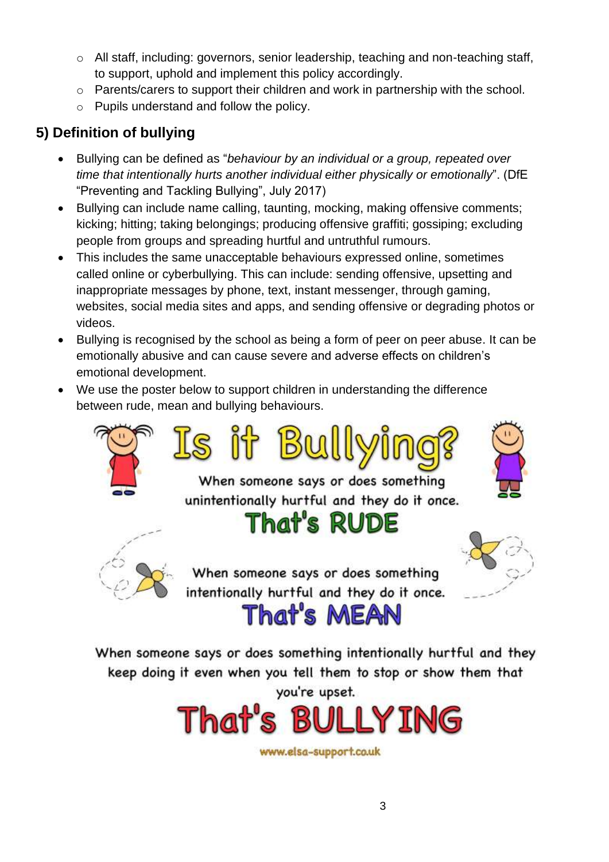- $\circ$  All staff, including: governors, senior leadership, teaching and non-teaching staff, to support, uphold and implement this policy accordingly.
- o Parents/carers to support their children and work in partnership with the school.
- o Pupils understand and follow the policy.

# **5) Definition of bullying**

- Bullying can be defined as "*behaviour by an individual or a group, repeated over time that intentionally hurts another individual either physically or emotionally*". (DfE "Preventing and Tackling Bullying", July 2017)
- Bullying can include name calling, taunting, mocking, making offensive comments; kicking; hitting; taking belongings; producing offensive graffiti; gossiping; excluding people from groups and spreading hurtful and untruthful rumours.
- This includes the same unacceptable behaviours expressed online, sometimes called online or cyberbullying. This can include: sending offensive, upsetting and inappropriate messages by phone, text, instant messenger, through gaming, websites, social media sites and apps, and sending offensive or degrading photos or videos.
- Bullying is recognised by the school as being a form of peer on peer abuse. It can be emotionally abusive and can cause severe and adverse effects on children's emotional development.
- We use the poster below to support children in understanding the difference between rude, mean and bullying behaviours.





When someone says or does something intentionally hurtful and they keep doing it even when you tell them to stop or show them that you're upset.

That's MEAN



www.elsa-support.co.uk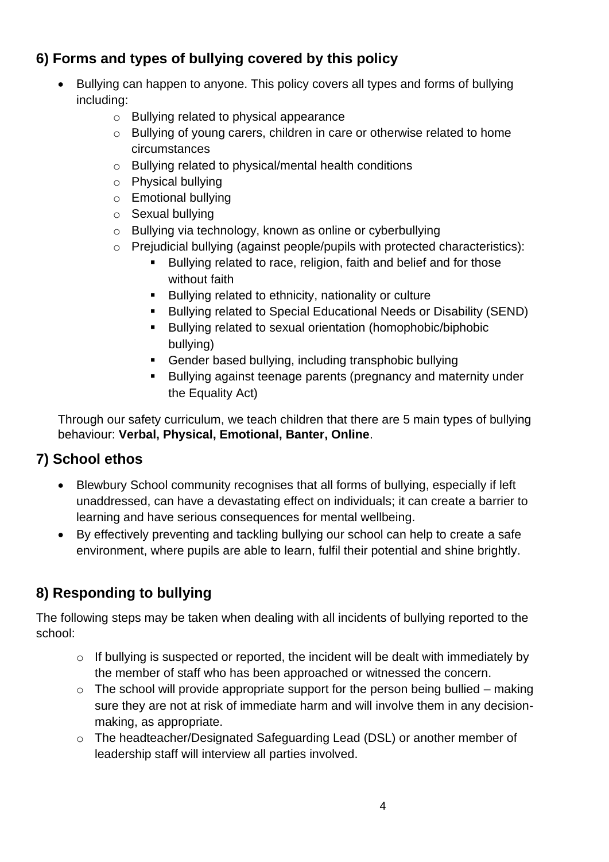# **6) Forms and types of bullying covered by this policy**

- Bullying can happen to anyone. This policy covers all types and forms of bullying including:
	- o Bullying related to physical appearance
	- o Bullying of young carers, children in care or otherwise related to home circumstances
	- o Bullying related to physical/mental health conditions
	- o Physical bullying
	- o Emotional bullying
	- o Sexual bullying
	- o Bullying via technology, known as online or cyberbullying
	- o Prejudicial bullying (against people/pupils with protected characteristics):
		- Bullying related to race, religion, faith and belief and for those without faith
		- Bullying related to ethnicity, nationality or culture
		- Bullying related to Special Educational Needs or Disability (SEND)
		- Bullying related to sexual orientation (homophobic/biphobic bullying)
		- Gender based bullying, including transphobic bullying
		- Bullying against teenage parents (pregnancy and maternity under the Equality Act)

Through our safety curriculum, we teach children that there are 5 main types of bullying behaviour: **Verbal, Physical, Emotional, Banter, Online**.

## **7) School ethos**

- Blewbury School community recognises that all forms of bullying, especially if left unaddressed, can have a devastating effect on individuals; it can create a barrier to learning and have serious consequences for mental wellbeing.
- By effectively preventing and tackling bullying our school can help to create a safe environment, where pupils are able to learn, fulfil their potential and shine brightly.

# **8) Responding to bullying**

The following steps may be taken when dealing with all incidents of bullying reported to the school:

- o If bullying is suspected or reported, the incident will be dealt with immediately by the member of staff who has been approached or witnessed the concern.
- $\circ$  The school will provide appropriate support for the person being bullied making sure they are not at risk of immediate harm and will involve them in any decisionmaking, as appropriate.
- o The headteacher/Designated Safeguarding Lead (DSL) or another member of leadership staff will interview all parties involved.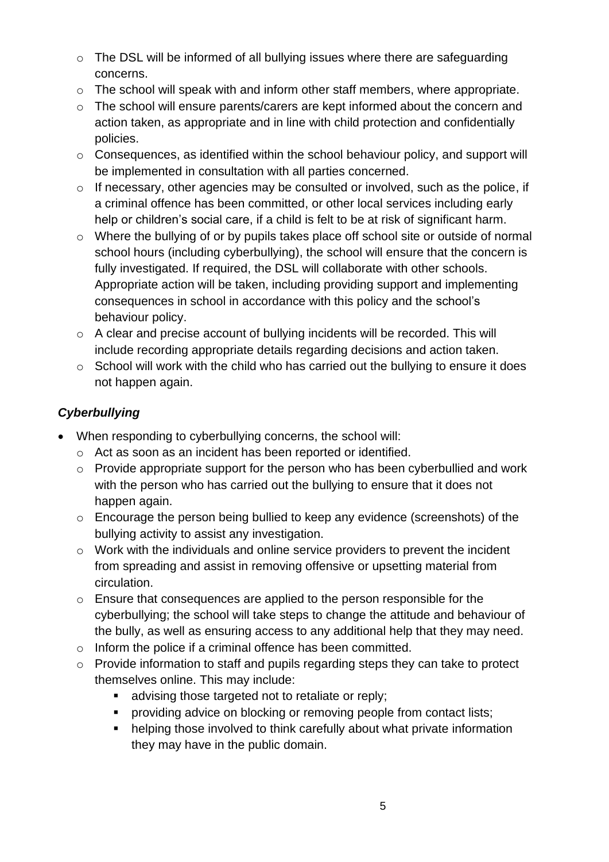- o The DSL will be informed of all bullying issues where there are safeguarding concerns.
- o The school will speak with and inform other staff members, where appropriate.
- o The school will ensure parents/carers are kept informed about the concern and action taken, as appropriate and in line with child protection and confidentially policies.
- o Consequences, as identified within the school behaviour policy, and support will be implemented in consultation with all parties concerned.
- o If necessary, other agencies may be consulted or involved, such as the police, if a criminal offence has been committed, or other local services including early help or children's social care, if a child is felt to be at risk of significant harm.
- o Where the bullying of or by pupils takes place off school site or outside of normal school hours (including cyberbullying), the school will ensure that the concern is fully investigated. If required, the DSL will collaborate with other schools. Appropriate action will be taken, including providing support and implementing consequences in school in accordance with this policy and the school's behaviour policy.
- o A clear and precise account of bullying incidents will be recorded. This will include recording appropriate details regarding decisions and action taken.
- o School will work with the child who has carried out the bullying to ensure it does not happen again.

#### *Cyberbullying*

- When responding to cyberbullying concerns, the school will:
	- o Act as soon as an incident has been reported or identified.
	- o Provide appropriate support for the person who has been cyberbullied and work with the person who has carried out the bullying to ensure that it does not happen again.
	- o Encourage the person being bullied to keep any evidence (screenshots) of the bullying activity to assist any investigation.
	- o Work with the individuals and online service providers to prevent the incident from spreading and assist in removing offensive or upsetting material from circulation.
	- o Ensure that consequences are applied to the person responsible for the cyberbullying; the school will take steps to change the attitude and behaviour of the bully, as well as ensuring access to any additional help that they may need.
	- o Inform the police if a criminal offence has been committed.
	- o Provide information to staff and pupils regarding steps they can take to protect themselves online. This may include:
		- advising those targeted not to retaliate or reply;
		- **•** providing advice on blocking or removing people from contact lists;
		- helping those involved to think carefully about what private information they may have in the public domain.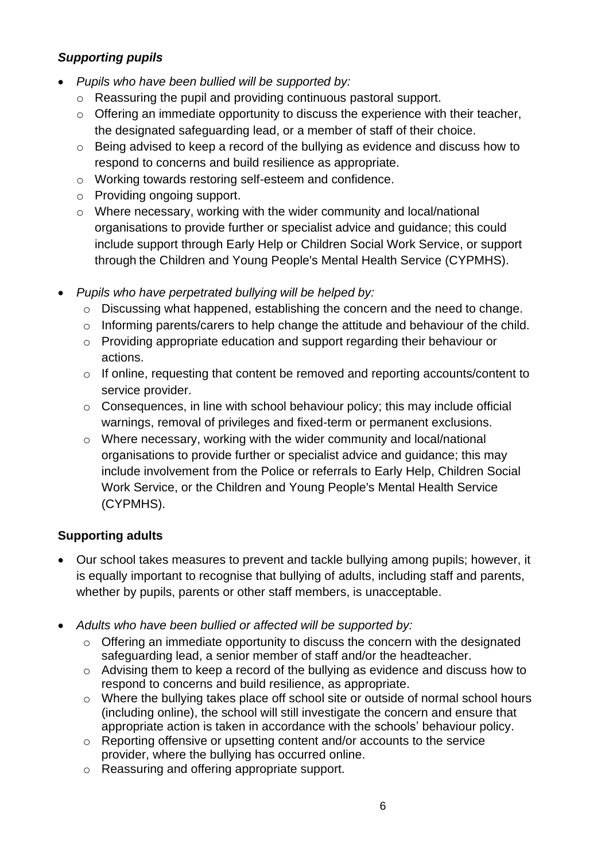#### *Supporting pupils*

- *Pupils who have been bullied will be supported by:*
	- o Reassuring the pupil and providing continuous pastoral support.
	- o Offering an immediate opportunity to discuss the experience with their teacher, the designated safeguarding lead, or a member of staff of their choice.
	- o Being advised to keep a record of the bullying as evidence and discuss how to respond to concerns and build resilience as appropriate.
	- o Working towards restoring self-esteem and confidence.
	- o Providing ongoing support.
	- o Where necessary, working with the wider community and local/national organisations to provide further or specialist advice and guidance; this could include support through Early Help or Children Social Work Service, or support through the Children and Young People's Mental Health Service (CYPMHS).
- *Pupils who have perpetrated bullying will be helped by:*
	- o Discussing what happened, establishing the concern and the need to change.
	- o Informing parents/carers to help change the attitude and behaviour of the child.
	- o Providing appropriate education and support regarding their behaviour or actions.
	- o If online, requesting that content be removed and reporting accounts/content to service provider.
	- $\circ$  Consequences, in line with school behaviour policy; this may include official warnings, removal of privileges and fixed-term or permanent exclusions.
	- o Where necessary, working with the wider community and local/national organisations to provide further or specialist advice and guidance; this may include involvement from the Police or referrals to Early Help, Children Social Work Service, or the Children and Young People's Mental Health Service (CYPMHS).

## **Supporting adults**

- Our school takes measures to prevent and tackle bullying among pupils; however, it is equally important to recognise that bullying of adults, including staff and parents, whether by pupils, parents or other staff members, is unacceptable.
- *Adults who have been bullied or affected will be supported by:*
	- o Offering an immediate opportunity to discuss the concern with the designated safeguarding lead, a senior member of staff and/or the headteacher.
	- o Advising them to keep a record of the bullying as evidence and discuss how to respond to concerns and build resilience, as appropriate.
	- o Where the bullying takes place off school site or outside of normal school hours (including online), the school will still investigate the concern and ensure that appropriate action is taken in accordance with the schools' behaviour policy.
	- o Reporting offensive or upsetting content and/or accounts to the service provider, where the bullying has occurred online.
	- o Reassuring and offering appropriate support.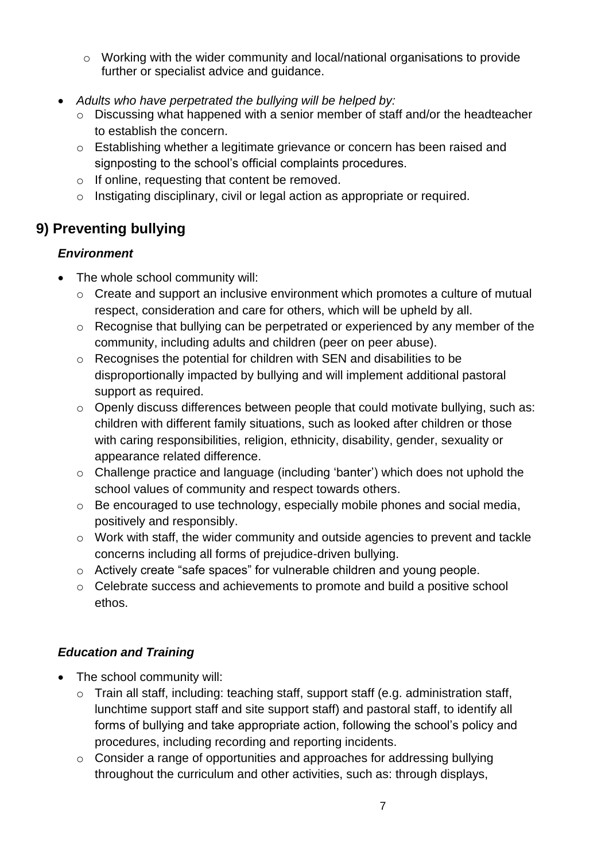- o Working with the wider community and local/national organisations to provide further or specialist advice and guidance.
- *Adults who have perpetrated the bullying will be helped by:*
	- o Discussing what happened with a senior member of staff and/or the headteacher to establish the concern.
	- o Establishing whether a legitimate grievance or concern has been raised and signposting to the school's official complaints procedures.
	- o If online, requesting that content be removed.
	- o Instigating disciplinary, civil or legal action as appropriate or required.

# **9) Preventing bullying**

#### *Environment*

- The whole school community will:
	- o Create and support an inclusive environment which promotes a culture of mutual respect, consideration and care for others, which will be upheld by all.
	- o Recognise that bullying can be perpetrated or experienced by any member of the community, including adults and children (peer on peer abuse).
	- o Recognises the potential for children with SEN and disabilities to be disproportionally impacted by bullying and will implement additional pastoral support as required.
	- o Openly discuss differences between people that could motivate bullying, such as: children with different family situations, such as looked after children or those with caring responsibilities, religion, ethnicity, disability, gender, sexuality or appearance related difference.
	- o Challenge practice and language (including 'banter') which does not uphold the school values of community and respect towards others.
	- o Be encouraged to use technology, especially mobile phones and social media, positively and responsibly.
	- o Work with staff, the wider community and outside agencies to prevent and tackle concerns including all forms of prejudice-driven bullying.
	- o Actively create "safe spaces" for vulnerable children and young people.
	- o Celebrate success and achievements to promote and build a positive school ethos.

#### *Education and Training*

- The school community will:
	- o Train all staff, including: teaching staff, support staff (e.g. administration staff, lunchtime support staff and site support staff) and pastoral staff, to identify all forms of bullying and take appropriate action, following the school's policy and procedures, including recording and reporting incidents.
	- o Consider a range of opportunities and approaches for addressing bullying throughout the curriculum and other activities, such as: through displays,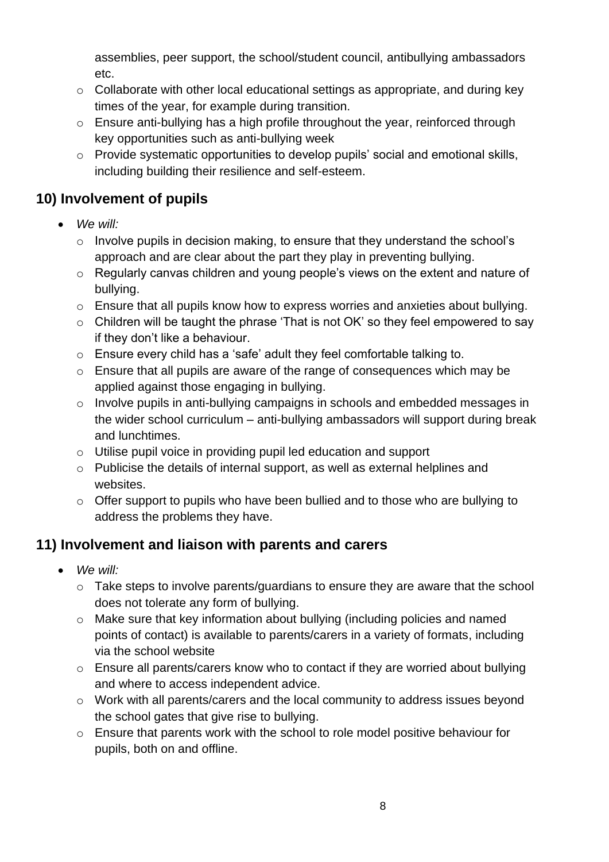assemblies, peer support, the school/student council, antibullying ambassadors etc.

- o Collaborate with other local educational settings as appropriate, and during key times of the year, for example during transition.
- o Ensure anti-bullying has a high profile throughout the year, reinforced through key opportunities such as anti-bullying week
- o Provide systematic opportunities to develop pupils' social and emotional skills, including building their resilience and self-esteem.

## **10) Involvement of pupils**

- *We will:* 
	- o Involve pupils in decision making, to ensure that they understand the school's approach and are clear about the part they play in preventing bullying.
	- o Regularly canvas children and young people's views on the extent and nature of bullying.
	- o Ensure that all pupils know how to express worries and anxieties about bullying.
	- o Children will be taught the phrase 'That is not OK' so they feel empowered to say if they don't like a behaviour.
	- o Ensure every child has a 'safe' adult they feel comfortable talking to.
	- o Ensure that all pupils are aware of the range of consequences which may be applied against those engaging in bullying.
	- o Involve pupils in anti-bullying campaigns in schools and embedded messages in the wider school curriculum – anti-bullying ambassadors will support during break and lunchtimes.
	- o Utilise pupil voice in providing pupil led education and support
	- o Publicise the details of internal support, as well as external helplines and websites.
	- o Offer support to pupils who have been bullied and to those who are bullying to address the problems they have.

# **11) Involvement and liaison with parents and carers**

- *We will:* 
	- o Take steps to involve parents/guardians to ensure they are aware that the school does not tolerate any form of bullying.
	- o Make sure that key information about bullying (including policies and named points of contact) is available to parents/carers in a variety of formats, including via the school website
	- o Ensure all parents/carers know who to contact if they are worried about bullying and where to access independent advice.
	- o Work with all parents/carers and the local community to address issues beyond the school gates that give rise to bullying.
	- o Ensure that parents work with the school to role model positive behaviour for pupils, both on and offline.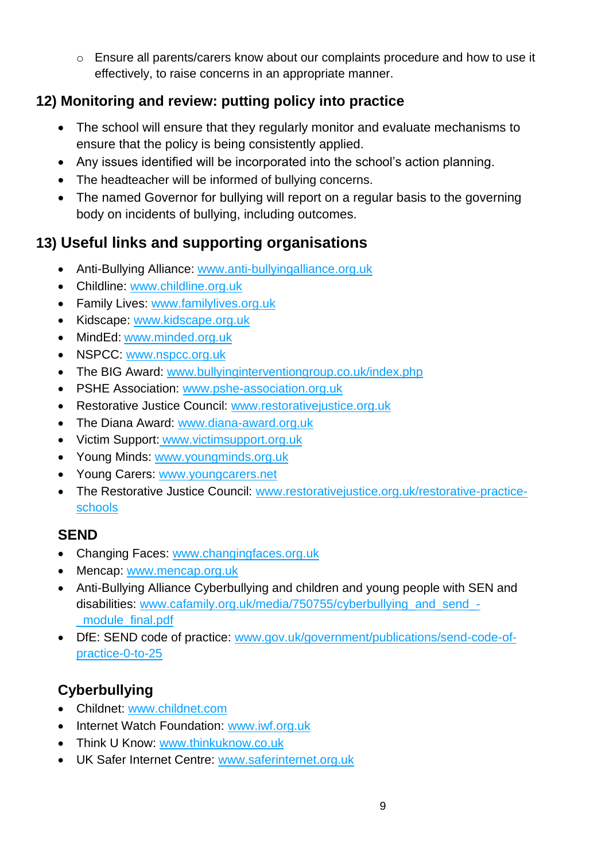$\circ$  Ensure all parents/carers know about our complaints procedure and how to use it effectively, to raise concerns in an appropriate manner.

# **12) Monitoring and review: putting policy into practice**

- The school will ensure that they regularly monitor and evaluate mechanisms to ensure that the policy is being consistently applied.
- Any issues identified will be incorporated into the school's action planning.
- The headteacher will be informed of bullying concerns.
- The named Governor for bullying will report on a regular basis to the governing body on incidents of bullying, including outcomes.

# **13) Useful links and supporting organisations**

- Anti-Bullying Alliance: [www.anti-bullyingalliance.org.uk](http://www.anti-bullyingalliance.org.uk/)
- Childline: [www.childline.org.uk](http://www.childline.org.uk/)
- Family Lives: [www.familylives.org.uk](http://www.familylives.org.uk/)
- Kidscape: [www.kidscape.org.uk](http://www.kidscape.org.uk/)
- MindEd: [www.minded.org.uk](http://www.minded.org.uk/)
- NSPCC: [www.nspcc.org.uk](http://www.nspcc.org.uk/)
- The BIG Award: [www.bullyinginterventiongroup.co.uk/index.php](https://www.bullyinginterventiongroup.co.uk/index.php)
- PSHE Association: [www.pshe-association.org.uk](http://www.pshe-association.org.uk/)
- Restorative Justice Council: [www.restorativejustice.org.uk](http://www.restorativejustice.org.uk/)
- The Diana Award: [www.diana-award.org.uk](http://www.diana-award.org.uk/)
- Victim Support: [www.victimsupport.org.uk](http://www.victimsupport.org.uk/)
- Young Minds: [www.youngminds.org.uk](http://www.youngminds.org.uk/)
- Young Carers: [www.youngcarers.net](http://www.youngcarers.net/)
- The Restorative Justice Council: [www.restorativejustice.org.uk/restorative-practice](http://www.restorativejustice.org.uk/restorative-practice-schools)[schools](http://www.restorativejustice.org.uk/restorative-practice-schools)

# **SEND**

- Changing Faces: [www.changingfaces.org.uk](http://www.changingfaces.org.uk/)
- Mencap: [www.mencap.org.uk](http://www.mencap.org.uk/)
- Anti-Bullying Alliance Cyberbullying and children and young people with SEN and disabilities: [www.cafamily.org.uk/media/750755/cyberbullying\\_and\\_send\\_-](http://www.cafamily.org.uk/media/750755/cyberbullying_and_send_-_module_final.pdf) [\\_module\\_final.pdf](http://www.cafamily.org.uk/media/750755/cyberbullying_and_send_-_module_final.pdf)
- DfE: SEND code of practice: [www.gov.uk/government/publications/send-code-of](https://www.gov.uk/government/publications/send-code-of-practice-0-to-25)[practice-0-to-25](https://www.gov.uk/government/publications/send-code-of-practice-0-to-25)

# **Cyberbullying**

- Childnet: [www.childnet.com](http://www.childnet.com/)
- Internet Watch Foundation: [www.iwf.org.uk](http://www.iwf.org.uk/)
- Think U Know: [www.thinkuknow.co.uk](http://www.thinkuknow.co.uk/)
- UK Safer Internet Centre: [www.saferinternet.org.uk](http://www.saferinternet.org.uk/)